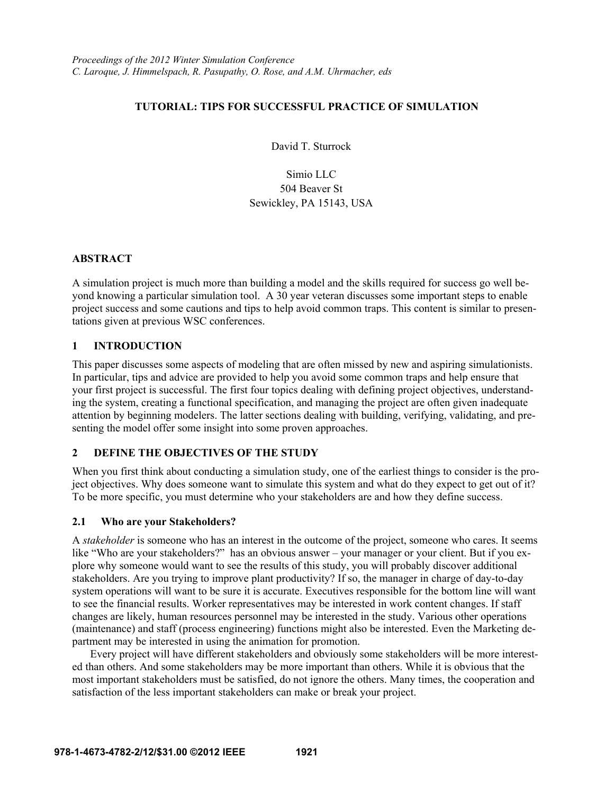# **TUTORIAL: TIPS FOR SUCCESSFUL PRACTICE OF SIMULATION**

David T. Sturrock

Simio LLC 504 Beaver St Sewickley, PA 15143, USA

# **ABSTRACT**

A simulation project is much more than building a model and the skills required for success go well beyond knowing a particular simulation tool. A 30 year veteran discusses some important steps to enable project success and some cautions and tips to help avoid common traps. This content is similar to presentations given at previous WSC conferences.

# **1 INTRODUCTION**

This paper discusses some aspects of modeling that are often missed by new and aspiring simulationists. In particular, tips and advice are provided to help you avoid some common traps and help ensure that your first project is successful. The first four topics dealing with defining project objectives, understanding the system, creating a functional specification, and managing the project are often given inadequate attention by beginning modelers. The latter sections dealing with building, verifying, validating, and presenting the model offer some insight into some proven approaches.

# **2 DEFINE THE OBJECTIVES OF THE STUDY**

When you first think about conducting a simulation study, one of the earliest things to consider is the project objectives. Why does someone want to simulate this system and what do they expect to get out of it? To be more specific, you must determine who your stakeholders are and how they define success.

## **2.1 Who are your Stakeholders?**

A *stakeholder* is someone who has an interest in the outcome of the project, someone who cares. It seems like "Who are your stakeholders?" has an obvious answer – your manager or your client. But if you explore why someone would want to see the results of this study, you will probably discover additional stakeholders. Are you trying to improve plant productivity? If so, the manager in charge of day-to-day system operations will want to be sure it is accurate. Executives responsible for the bottom line will want to see the financial results. Worker representatives may be interested in work content changes. If staff changes are likely, human resources personnel may be interested in the study. Various other operations (maintenance) and staff (process engineering) functions might also be interested. Even the Marketing department may be interested in using the animation for promotion.

Every project will have different stakeholders and obviously some stakeholders will be more interested than others. And some stakeholders may be more important than others. While it is obvious that the most important stakeholders must be satisfied, do not ignore the others. Many times, the cooperation and satisfaction of the less important stakeholders can make or break your project.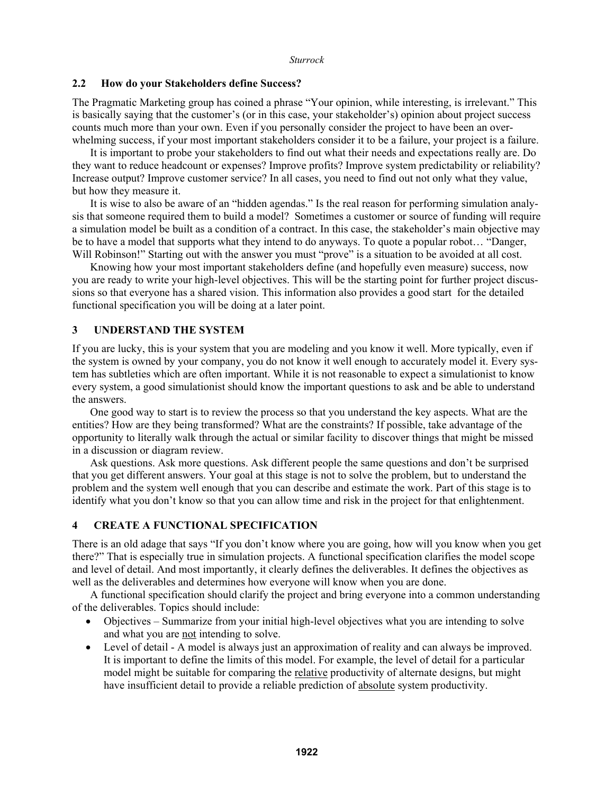## **2.2 How do your Stakeholders define Success?**

The Pragmatic Marketing group has coined a phrase "Your opinion, while interesting, is irrelevant." This is basically saying that the customer's (or in this case, your stakeholder's) opinion about project success counts much more than your own. Even if you personally consider the project to have been an overwhelming success, if your most important stakeholders consider it to be a failure, your project is a failure.

It is important to probe your stakeholders to find out what their needs and expectations really are. Do they want to reduce headcount or expenses? Improve profits? Improve system predictability or reliability? Increase output? Improve customer service? In all cases, you need to find out not only what they value, but how they measure it.

It is wise to also be aware of an "hidden agendas." Is the real reason for performing simulation analysis that someone required them to build a model? Sometimes a customer or source of funding will require a simulation model be built as a condition of a contract. In this case, the stakeholder's main objective may be to have a model that supports what they intend to do anyways. To quote a popular robot… "Danger, Will Robinson!" Starting out with the answer you must "prove" is a situation to be avoided at all cost.

Knowing how your most important stakeholders define (and hopefully even measure) success, now you are ready to write your high-level objectives. This will be the starting point for further project discussions so that everyone has a shared vision. This information also provides a good start for the detailed functional specification you will be doing at a later point.

# **3 UNDERSTAND THE SYSTEM**

If you are lucky, this is your system that you are modeling and you know it well. More typically, even if the system is owned by your company, you do not know it well enough to accurately model it. Every system has subtleties which are often important. While it is not reasonable to expect a simulationist to know every system, a good simulationist should know the important questions to ask and be able to understand the answers.

One good way to start is to review the process so that you understand the key aspects. What are the entities? How are they being transformed? What are the constraints? If possible, take advantage of the opportunity to literally walk through the actual or similar facility to discover things that might be missed in a discussion or diagram review.

Ask questions. Ask more questions. Ask different people the same questions and don't be surprised that you get different answers. Your goal at this stage is not to solve the problem, but to understand the problem and the system well enough that you can describe and estimate the work. Part of this stage is to identify what you don't know so that you can allow time and risk in the project for that enlightenment.

# **4 CREATE A FUNCTIONAL SPECIFICATION**

There is an old adage that says "If you don't know where you are going, how will you know when you get there?" That is especially true in simulation projects. A functional specification clarifies the model scope and level of detail. And most importantly, it clearly defines the deliverables. It defines the objectives as well as the deliverables and determines how everyone will know when you are done.

A functional specification should clarify the project and bring everyone into a common understanding of the deliverables. Topics should include:

- Objectives Summarize from your initial high-level objectives what you are intending to solve and what you are not intending to solve.
- Level of detail A model is always just an approximation of reality and can always be improved. It is important to define the limits of this model. For example, the level of detail for a particular model might be suitable for comparing the relative productivity of alternate designs, but might have insufficient detail to provide a reliable prediction of absolute system productivity.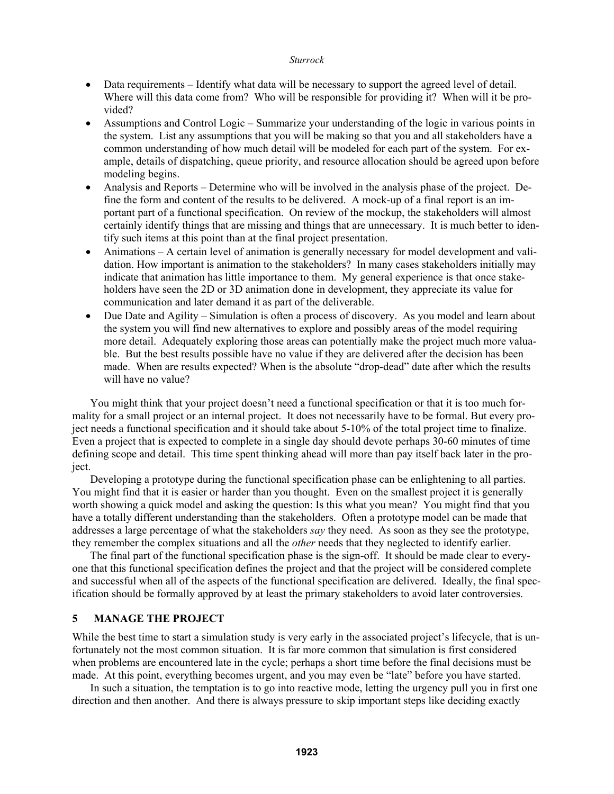- Data requirements Identify what data will be necessary to support the agreed level of detail. Where will this data come from? Who will be responsible for providing it? When will it be provided?
- Assumptions and Control Logic Summarize your understanding of the logic in various points in the system. List any assumptions that you will be making so that you and all stakeholders have a common understanding of how much detail will be modeled for each part of the system. For example, details of dispatching, queue priority, and resource allocation should be agreed upon before modeling begins.
- Analysis and Reports Determine who will be involved in the analysis phase of the project. Define the form and content of the results to be delivered. A mock-up of a final report is an important part of a functional specification. On review of the mockup, the stakeholders will almost certainly identify things that are missing and things that are unnecessary. It is much better to identify such items at this point than at the final project presentation.
- Animations A certain level of animation is generally necessary for model development and validation. How important is animation to the stakeholders? In many cases stakeholders initially may indicate that animation has little importance to them. My general experience is that once stakeholders have seen the 2D or 3D animation done in development, they appreciate its value for communication and later demand it as part of the deliverable.
- Due Date and Agility Simulation is often a process of discovery. As you model and learn about the system you will find new alternatives to explore and possibly areas of the model requiring more detail. Adequately exploring those areas can potentially make the project much more valuable. But the best results possible have no value if they are delivered after the decision has been made. When are results expected? When is the absolute "drop-dead" date after which the results will have no value?

You might think that your project doesn't need a functional specification or that it is too much formality for a small project or an internal project. It does not necessarily have to be formal. But every project needs a functional specification and it should take about 5-10% of the total project time to finalize. Even a project that is expected to complete in a single day should devote perhaps 30-60 minutes of time defining scope and detail. This time spent thinking ahead will more than pay itself back later in the project.

Developing a prototype during the functional specification phase can be enlightening to all parties. You might find that it is easier or harder than you thought. Even on the smallest project it is generally worth showing a quick model and asking the question: Is this what you mean? You might find that you have a totally different understanding than the stakeholders. Often a prototype model can be made that addresses a large percentage of what the stakeholders *say* they need. As soon as they see the prototype, they remember the complex situations and all the *other* needs that they neglected to identify earlier.

The final part of the functional specification phase is the sign-off. It should be made clear to everyone that this functional specification defines the project and that the project will be considered complete and successful when all of the aspects of the functional specification are delivered. Ideally, the final specification should be formally approved by at least the primary stakeholders to avoid later controversies.

## **5 MANAGE THE PROJECT**

While the best time to start a simulation study is very early in the associated project's lifecycle, that is unfortunately not the most common situation. It is far more common that simulation is first considered when problems are encountered late in the cycle; perhaps a short time before the final decisions must be made. At this point, everything becomes urgent, and you may even be "late" before you have started.

In such a situation, the temptation is to go into reactive mode, letting the urgency pull you in first one direction and then another. And there is always pressure to skip important steps like deciding exactly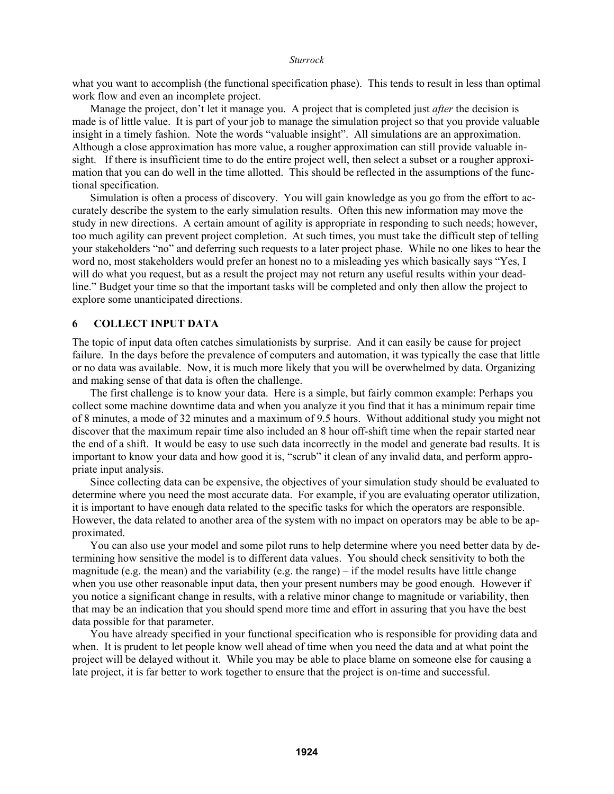what you want to accomplish (the functional specification phase). This tends to result in less than optimal work flow and even an incomplete project.

Manage the project, don't let it manage you. A project that is completed just *after* the decision is made is of little value. It is part of your job to manage the simulation project so that you provide valuable insight in a timely fashion. Note the words "valuable insight". All simulations are an approximation. Although a close approximation has more value, a rougher approximation can still provide valuable insight. If there is insufficient time to do the entire project well, then select a subset or a rougher approximation that you can do well in the time allotted. This should be reflected in the assumptions of the functional specification.

Simulation is often a process of discovery. You will gain knowledge as you go from the effort to accurately describe the system to the early simulation results. Often this new information may move the study in new directions. A certain amount of agility is appropriate in responding to such needs; however, too much agility can prevent project completion. At such times, you must take the difficult step of telling your stakeholders "no" and deferring such requests to a later project phase. While no one likes to hear the word no, most stakeholders would prefer an honest no to a misleading yes which basically says "Yes, I will do what you request, but as a result the project may not return any useful results within your deadline." Budget your time so that the important tasks will be completed and only then allow the project to explore some unanticipated directions.

## **6 COLLECT INPUT DATA**

The topic of input data often catches simulationists by surprise. And it can easily be cause for project failure. In the days before the prevalence of computers and automation, it was typically the case that little or no data was available. Now, it is much more likely that you will be overwhelmed by data. Organizing and making sense of that data is often the challenge.

The first challenge is to know your data. Here is a simple, but fairly common example: Perhaps you collect some machine downtime data and when you analyze it you find that it has a minimum repair time of 8 minutes, a mode of 32 minutes and a maximum of 9.5 hours. Without additional study you might not discover that the maximum repair time also included an 8 hour off-shift time when the repair started near the end of a shift. It would be easy to use such data incorrectly in the model and generate bad results. It is important to know your data and how good it is, "scrub" it clean of any invalid data, and perform appropriate input analysis.

Since collecting data can be expensive, the objectives of your simulation study should be evaluated to determine where you need the most accurate data. For example, if you are evaluating operator utilization, it is important to have enough data related to the specific tasks for which the operators are responsible. However, the data related to another area of the system with no impact on operators may be able to be approximated.

You can also use your model and some pilot runs to help determine where you need better data by determining how sensitive the model is to different data values. You should check sensitivity to both the magnitude (e.g. the mean) and the variability (e.g. the range) – if the model results have little change when you use other reasonable input data, then your present numbers may be good enough. However if you notice a significant change in results, with a relative minor change to magnitude or variability, then that may be an indication that you should spend more time and effort in assuring that you have the best data possible for that parameter.

You have already specified in your functional specification who is responsible for providing data and when. It is prudent to let people know well ahead of time when you need the data and at what point the project will be delayed without it. While you may be able to place blame on someone else for causing a late project, it is far better to work together to ensure that the project is on-time and successful.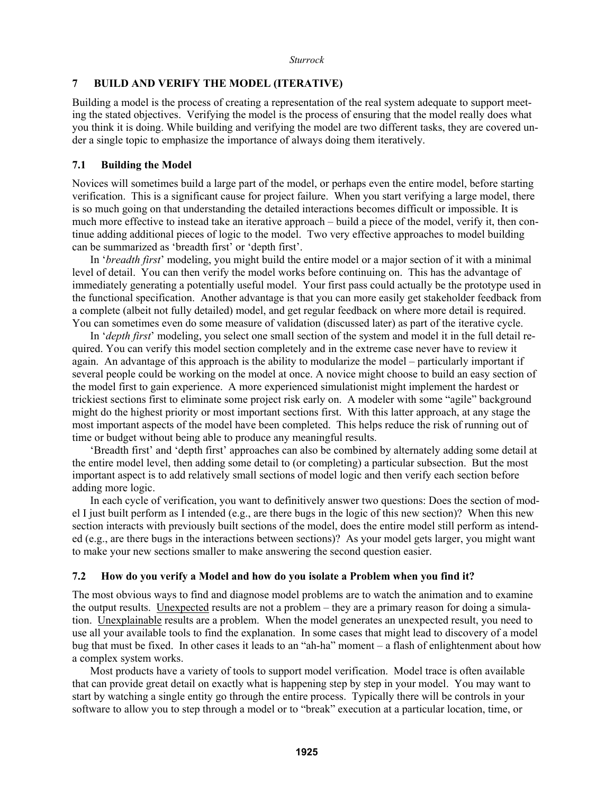## **7 BUILD AND VERIFY THE MODEL (ITERATIVE)**

Building a model is the process of creating a representation of the real system adequate to support meeting the stated objectives. Verifying the model is the process of ensuring that the model really does what you think it is doing. While building and verifying the model are two different tasks, they are covered under a single topic to emphasize the importance of always doing them iteratively.

## **7.1 Building the Model**

Novices will sometimes build a large part of the model, or perhaps even the entire model, before starting verification. This is a significant cause for project failure. When you start verifying a large model, there is so much going on that understanding the detailed interactions becomes difficult or impossible. It is much more effective to instead take an iterative approach – build a piece of the model, verify it, then continue adding additional pieces of logic to the model. Two very effective approaches to model building can be summarized as 'breadth first' or 'depth first'.

In '*breadth first*' modeling, you might build the entire model or a major section of it with a minimal level of detail. You can then verify the model works before continuing on. This has the advantage of immediately generating a potentially useful model. Your first pass could actually be the prototype used in the functional specification. Another advantage is that you can more easily get stakeholder feedback from a complete (albeit not fully detailed) model, and get regular feedback on where more detail is required. You can sometimes even do some measure of validation (discussed later) as part of the iterative cycle.

In '*depth first*' modeling, you select one small section of the system and model it in the full detail required. You can verify this model section completely and in the extreme case never have to review it again. An advantage of this approach is the ability to modularize the model – particularly important if several people could be working on the model at once. A novice might choose to build an easy section of the model first to gain experience. A more experienced simulationist might implement the hardest or trickiest sections first to eliminate some project risk early on. A modeler with some "agile" background might do the highest priority or most important sections first. With this latter approach, at any stage the most important aspects of the model have been completed. This helps reduce the risk of running out of time or budget without being able to produce any meaningful results.

'Breadth first' and 'depth first' approaches can also be combined by alternately adding some detail at the entire model level, then adding some detail to (or completing) a particular subsection. But the most important aspect is to add relatively small sections of model logic and then verify each section before adding more logic.

In each cycle of verification, you want to definitively answer two questions: Does the section of model I just built perform as I intended (e.g., are there bugs in the logic of this new section)? When this new section interacts with previously built sections of the model, does the entire model still perform as intended (e.g., are there bugs in the interactions between sections)? As your model gets larger, you might want to make your new sections smaller to make answering the second question easier.

## **7.2 How do you verify a Model and how do you isolate a Problem when you find it?**

The most obvious ways to find and diagnose model problems are to watch the animation and to examine the output results. Unexpected results are not a problem – they are a primary reason for doing a simulation. Unexplainable results are a problem. When the model generates an unexpected result, you need to use all your available tools to find the explanation. In some cases that might lead to discovery of a model bug that must be fixed. In other cases it leads to an "ah-ha" moment – a flash of enlightenment about how a complex system works.

Most products have a variety of tools to support model verification. Model trace is often available that can provide great detail on exactly what is happening step by step in your model. You may want to start by watching a single entity go through the entire process. Typically there will be controls in your software to allow you to step through a model or to "break" execution at a particular location, time, or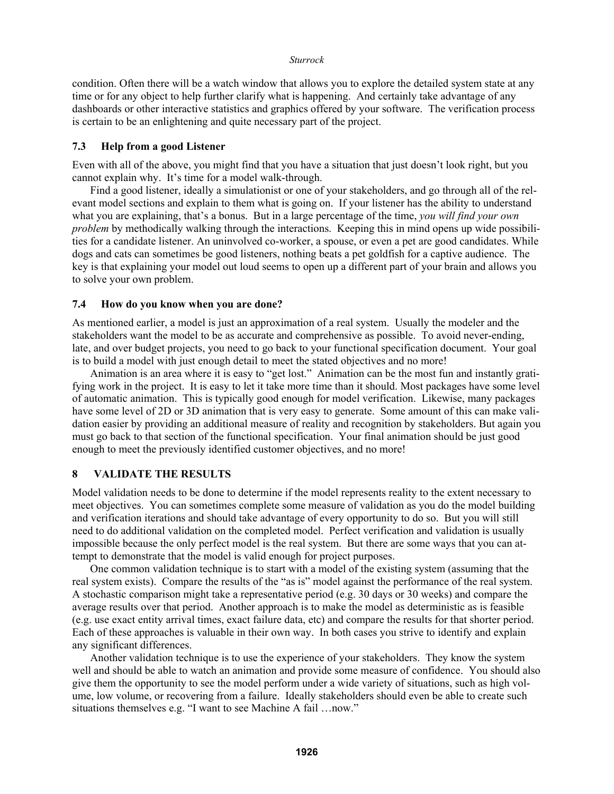condition. Often there will be a watch window that allows you to explore the detailed system state at any time or for any object to help further clarify what is happening. And certainly take advantage of any dashboards or other interactive statistics and graphics offered by your software. The verification process is certain to be an enlightening and quite necessary part of the project.

## **7.3 Help from a good Listener**

Even with all of the above, you might find that you have a situation that just doesn't look right, but you cannot explain why. It's time for a model walk-through.

Find a good listener, ideally a simulationist or one of your stakeholders, and go through all of the relevant model sections and explain to them what is going on. If your listener has the ability to understand what you are explaining, that's a bonus. But in a large percentage of the time, *you will find your own problem* by methodically walking through the interactions. Keeping this in mind opens up wide possibilities for a candidate listener. An uninvolved co-worker, a spouse, or even a pet are good candidates. While dogs and cats can sometimes be good listeners, nothing beats a pet goldfish for a captive audience. The key is that explaining your model out loud seems to open up a different part of your brain and allows you to solve your own problem.

### **7.4 How do you know when you are done?**

As mentioned earlier, a model is just an approximation of a real system. Usually the modeler and the stakeholders want the model to be as accurate and comprehensive as possible. To avoid never-ending, late, and over budget projects, you need to go back to your functional specification document. Your goal is to build a model with just enough detail to meet the stated objectives and no more!

Animation is an area where it is easy to "get lost." Animation can be the most fun and instantly gratifying work in the project. It is easy to let it take more time than it should. Most packages have some level of automatic animation. This is typically good enough for model verification. Likewise, many packages have some level of 2D or 3D animation that is very easy to generate. Some amount of this can make validation easier by providing an additional measure of reality and recognition by stakeholders. But again you must go back to that section of the functional specification. Your final animation should be just good enough to meet the previously identified customer objectives, and no more!

# **8 VALIDATE THE RESULTS**

Model validation needs to be done to determine if the model represents reality to the extent necessary to meet objectives. You can sometimes complete some measure of validation as you do the model building and verification iterations and should take advantage of every opportunity to do so. But you will still need to do additional validation on the completed model. Perfect verification and validation is usually impossible because the only perfect model is the real system. But there are some ways that you can attempt to demonstrate that the model is valid enough for project purposes.

One common validation technique is to start with a model of the existing system (assuming that the real system exists). Compare the results of the "as is" model against the performance of the real system. A stochastic comparison might take a representative period (e.g. 30 days or 30 weeks) and compare the average results over that period. Another approach is to make the model as deterministic as is feasible (e.g. use exact entity arrival times, exact failure data, etc) and compare the results for that shorter period. Each of these approaches is valuable in their own way. In both cases you strive to identify and explain any significant differences.

Another validation technique is to use the experience of your stakeholders. They know the system well and should be able to watch an animation and provide some measure of confidence. You should also give them the opportunity to see the model perform under a wide variety of situations, such as high volume, low volume, or recovering from a failure. Ideally stakeholders should even be able to create such situations themselves e.g. "I want to see Machine A fail …now."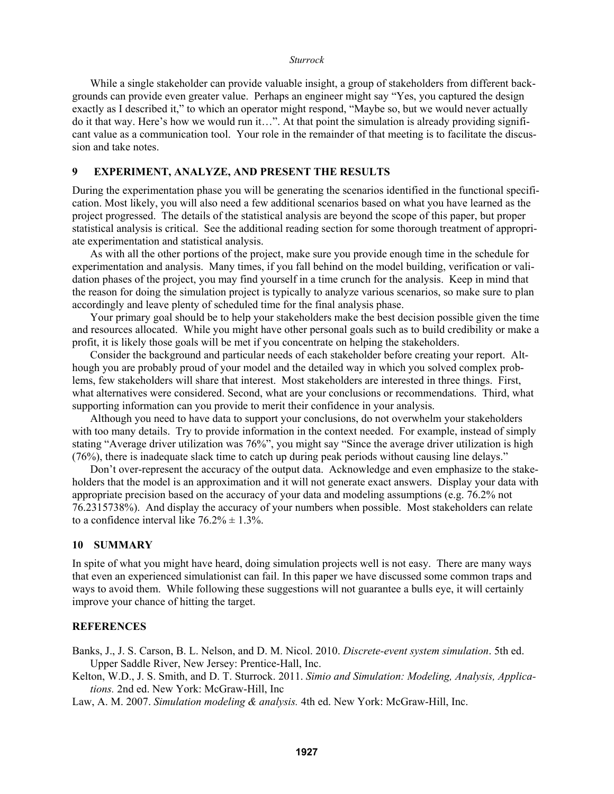While a single stakeholder can provide valuable insight, a group of stakeholders from different backgrounds can provide even greater value. Perhaps an engineer might say "Yes, you captured the design exactly as I described it," to which an operator might respond, "Maybe so, but we would never actually do it that way. Here's how we would run it…". At that point the simulation is already providing significant value as a communication tool. Your role in the remainder of that meeting is to facilitate the discussion and take notes.

## **9 EXPERIMENT, ANALYZE, AND PRESENT THE RESULTS**

During the experimentation phase you will be generating the scenarios identified in the functional specification. Most likely, you will also need a few additional scenarios based on what you have learned as the project progressed. The details of the statistical analysis are beyond the scope of this paper, but proper statistical analysis is critical. See the additional reading section for some thorough treatment of appropriate experimentation and statistical analysis.

As with all the other portions of the project, make sure you provide enough time in the schedule for experimentation and analysis. Many times, if you fall behind on the model building, verification or validation phases of the project, you may find yourself in a time crunch for the analysis. Keep in mind that the reason for doing the simulation project is typically to analyze various scenarios, so make sure to plan accordingly and leave plenty of scheduled time for the final analysis phase.

Your primary goal should be to help your stakeholders make the best decision possible given the time and resources allocated. While you might have other personal goals such as to build credibility or make a profit, it is likely those goals will be met if you concentrate on helping the stakeholders.

Consider the background and particular needs of each stakeholder before creating your report. Although you are probably proud of your model and the detailed way in which you solved complex problems, few stakeholders will share that interest. Most stakeholders are interested in three things. First, what alternatives were considered. Second, what are your conclusions or recommendations. Third, what supporting information can you provide to merit their confidence in your analysis.

Although you need to have data to support your conclusions, do not overwhelm your stakeholders with too many details. Try to provide information in the context needed. For example, instead of simply stating "Average driver utilization was 76%", you might say "Since the average driver utilization is high (76%), there is inadequate slack time to catch up during peak periods without causing line delays."

Don't over-represent the accuracy of the output data. Acknowledge and even emphasize to the stakeholders that the model is an approximation and it will not generate exact answers. Display your data with appropriate precision based on the accuracy of your data and modeling assumptions (e.g. 76.2% not 76.2315738%). And display the accuracy of your numbers when possible. Most stakeholders can relate to a confidence interval like  $76.2\% \pm 1.3\%$ .

# **10 SUMMARY**

In spite of what you might have heard, doing simulation projects well is not easy. There are many ways that even an experienced simulationist can fail. In this paper we have discussed some common traps and ways to avoid them. While following these suggestions will not guarantee a bulls eye, it will certainly improve your chance of hitting the target.

### **REFERENCES**

Banks, J., J. S. Carson, B. L. Nelson, and D. M. Nicol. 2010. *Discrete-event system simulation*. 5th ed. Upper Saddle River, New Jersey: Prentice-Hall, Inc.

Kelton, W.D., J. S. Smith, and D. T. Sturrock. 2011. *Simio and Simulation: Modeling, Analysis, Applications.* 2nd ed. New York: McGraw-Hill, Inc

Law, A. M. 2007. *Simulation modeling & analysis.* 4th ed. New York: McGraw-Hill, Inc.